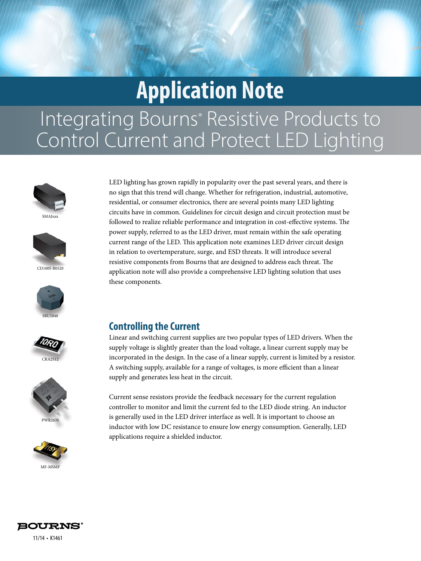# **Application Note**

# Integrating Bourns<sup>®</sup> Resistive Products to Control Current and Protect LED Lighting





CD1005-B0520









LED lighting has grown rapidly in popularity over the past several years, and there is no sign that this trend will change. Whether for refrigeration, industrial, automotive, residential, or consumer electronics, there are several points many LED lighting circuits have in common. Guidelines for circuit design and circuit protection must be followed to realize reliable performance and integration in cost-effective systems. The power supply, referred to as the LED driver, must remain within the safe operating current range of the LED. This application note examines LED driver circuit design in relation to overtemperature, surge, and ESD threats. It will introduce several resistive components from Bourns that are designed to address each threat. The application note will also provide a comprehensive LED lighting solution that uses these components.

# **Controlling the Current**

Linear and switching current supplies are two popular types of LED drivers. When the supply voltage is slightly greater than the load voltage, a linear current supply may be incorporated in the design. In the case of a linear supply, current is limited by a resistor. A switching supply, available for a range of voltages, is more efficient than a linear supply and generates less heat in the circuit.

Current sense resistors provide the feedback necessary for the current regulation controller to monitor and limit the current fed to the LED diode string. An inductor is generally used in the LED driver interface as well. It is important to choose an inductor with low DC resistance to ensure low energy consumption. Generally, LED applications require a shielded inductor.

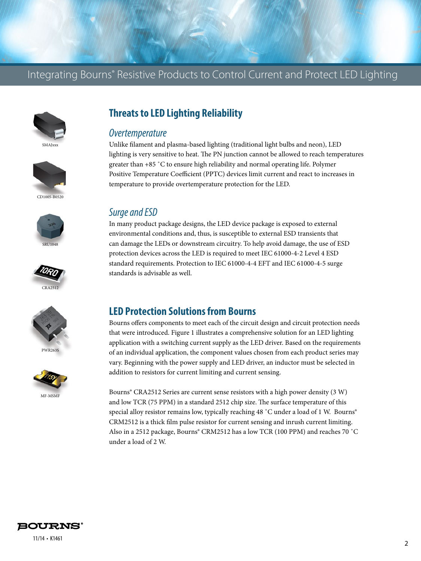

















# **Threats to LED Lighting Reliability**

#### *Overtemperature*

Unlike filament and plasma-based lighting (traditional light bulbs and neon), LED lighting is very sensitive to heat. The PN junction cannot be allowed to reach temperatures greater than +85 ˚C to ensure high reliability and normal operating life. Polymer Positive Temperature Coefficient (PPTC) devices limit current and react to increases in temperature to provide overtemperature protection for the LED.

#### *Surge and ESD*

In many product package designs, the LED device package is exposed to external environmental conditions and, thus, is susceptible to external ESD transients that can damage the LEDs or downstream circuitry. To help avoid damage, the use of ESD protection devices across the LED is required to meet IEC 61000-4-2 Level 4 ESD standard requirements. Protection to IEC 61000-4-4 EFT and IEC 61000-4-5 surge standards is advisable as well.

### **LED Protection Solutions from Bourns**

Bourns offers components to meet each of the circuit design and circuit protection needs that were introduced. Figure 1 illustrates a comprehensive solution for an LED lighting application with a switching current supply as the LED driver. Based on the requirements of an individual application, the component values chosen from each product series may vary. Beginning with the power supply and LED driver, an inductor must be selected in addition to resistors for current limiting and current sensing.

Bourns® CRA2512 Series are current sense resistors with a high power density (3 W) and low TCR (75 PPM) in a standard 2512 chip size. The surface temperature of this special alloy resistor remains low, typically reaching 48 °C under a load of 1 W. Bourns® CRM2512 is a thick film pulse resistor for current sensing and inrush current limiting. Also in a 2512 package, Bourns® CRM2512 has a low TCR (100 PPM) and reaches 70 ˚C under a load of 2 W.

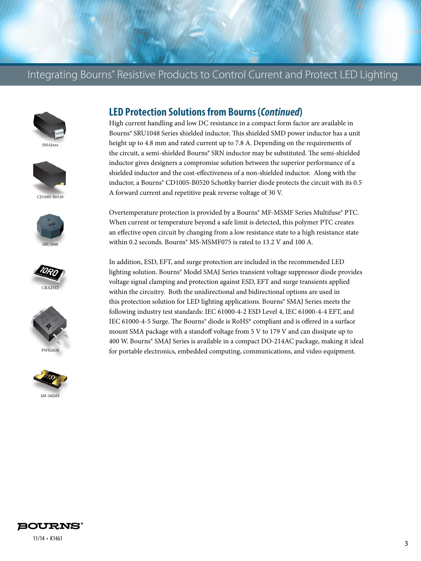# Integrating Bourns® Resistive Products to Control Current and Protect LED Lighting















## **LED Protection Solutions from Bourns (***Continued***)**

High current handling and low DC resistance in a compact form factor are available in Bourns® SRU1048 Series shielded inductor. This shielded SMD power inductor has a unit height up to 4.8 mm and rated current up to 7.8 A. Depending on the requirements of the circuit, a semi-shielded Bourns® SRN inductor may be substituted. The semi-shielded inductor gives designers a compromise solution between the superior performance of a shielded inductor and the cost-effectiveness of a non-shielded inductor. Along with the inductor, a Bourns® CD1005-B0520 Schottky barrier diode protects the circuit with its 0.5 A forward current and repetitive peak reverse voltage of 30 V.

Overtemperature protection is provided by a Bourns® MF-MSMF Series Multifuse® PTC. When current or temperature beyond a safe limit is detected, this polymer PTC creates an effective open circuit by changing from a low resistance state to a high resistance state within 0.2 seconds. Bourns® MS-MSMF075 is rated to 13.2 V and 100 A.

In addition, ESD, EFT, and surge protection are included in the recommended LED lighting solution. Bourns® Model SMAJ Series transient voltage suppressor diode provides voltage signal clamping and protection against ESD, EFT and surge transients applied within the circuitry. Both the unidirectional and bidirectional options are used in this protection solution for LED lighting applications. Bourns® SMAJ Series meets the following industry test standards: IEC 61000-4-2 ESD Level 4, IEC 61000-4-4 EFT, and IEC 61000-4-5 Surge. The Bourns® diode is RoHS\* compliant and is offered in a surface mount SMA package with a standoff voltage from 5 V to 179 V and can dissipate up to 400 W. Bourns® SMAJ Series is available in a compact DO-214AC package, making it ideal for portable electronics, embedded computing, communications, and video equipment.



11/14 • K1461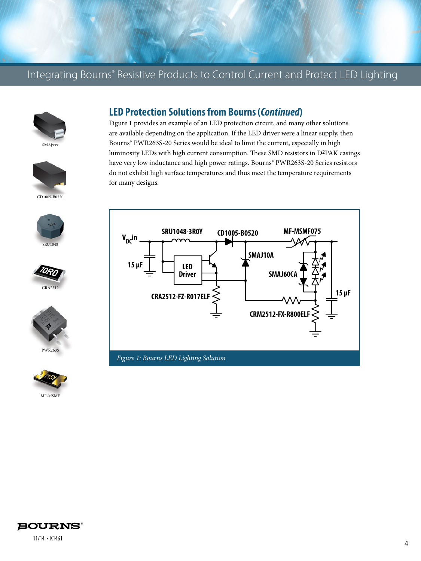# Integrating Bourns® Resistive Products to Control Current and Protect LED Lighting













#### **LED Protection Solutions from Bourns (***Continued***)**

Figure 1 provides an example of an LED protection circuit, and many other solutions are available depending on the application. If the LED driver were a linear supply, then Bourns® PWR263S-20 Series would be ideal to limit the current, especially in high luminosity LEDs with high current consumption. These SMD resistors in D2PAK casings have very low inductance and high power ratings. Bourns® PWR263S-20 Series resistors do not exhibit high surface temperatures and thus meet the temperature requirements for many designs.





11/14 • K1461